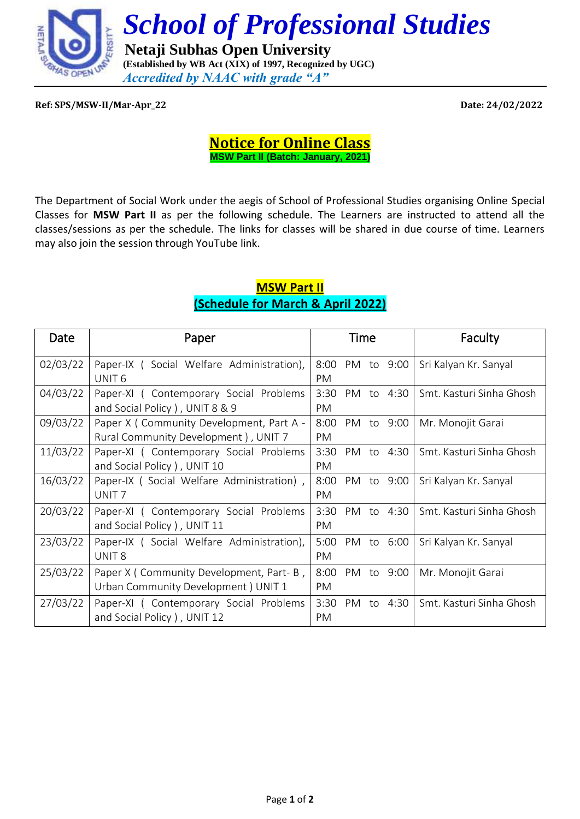

## **Ref: SPS/MSW-II/Mar-Apr\_22 Date: 24/02/2022**

**Notice for Online Class MSW Part II (Batch: January, 2021)**

The Department of Social Work under the aegis of School of Professional Studies organising Online Special Classes for **MSW Part II** as per the following schedule. The Learners are instructed to attend all the classes/sessions as per the schedule. The links for classes will be shared in due course of time. Learners may also join the session through YouTube link.

## **MSW Part II (Schedule for March & April 2022)**

| Date     | Paper                                                                             |             | Time |    |            | Faculty                  |
|----------|-----------------------------------------------------------------------------------|-------------|------|----|------------|--------------------------|
| 02/03/22 | Paper-IX (Social Welfare Administration),<br>UNIT <sub>6</sub>                    | 8:00<br>PM  |      |    | PM to 9:00 | Sri Kalyan Kr. Sanyal    |
| 04/03/22 | Paper-XI (Contemporary Social Problems<br>and Social Policy), UNIT 8 & 9          | 3:30<br>PM  |      |    | PM to 4:30 | Smt. Kasturi Sinha Ghosh |
| 09/03/22 | Paper X ( Community Development, Part A -<br>Rural Community Development), UNIT 7 | 8:00<br>PM. |      |    | PM to 9:00 | Mr. Monojit Garai        |
| 11/03/22 | Paper-XI (Contemporary Social Problems<br>and Social Policy ), UNIT 10            | 3:30<br>PM  |      |    | PM to 4:30 | Smt. Kasturi Sinha Ghosh |
| 16/03/22 | Paper-IX (Social Welfare Administration),<br>UNIT <sub>7</sub>                    | 8:00<br>PM. | PM   | to | 9:00       | Sri Kalyan Kr. Sanyal    |
| 20/03/22 | Paper-XI (Contemporary Social Problems<br>and Social Policy), UNIT 11             | 3:30<br>PM  |      |    | PM to 4:30 | Smt. Kasturi Sinha Ghosh |
| 23/03/22 | Paper-IX (Social Welfare Administration),<br>UNIT <sub>8</sub>                    | 5:00<br>PM  |      |    | PM to 6:00 | Sri Kalyan Kr. Sanyal    |
| 25/03/22 | Paper X (Community Development, Part-B,<br>Urban Community Development ) UNIT 1   | 8:00<br>PM. |      |    | PM to 9:00 | Mr. Monojit Garai        |
| 27/03/22 | Paper-XI (Contemporary Social Problems<br>and Social Policy), UNIT 12             | 3:30<br>PM  | PM   |    | to 4:30    | Smt. Kasturi Sinha Ghosh |